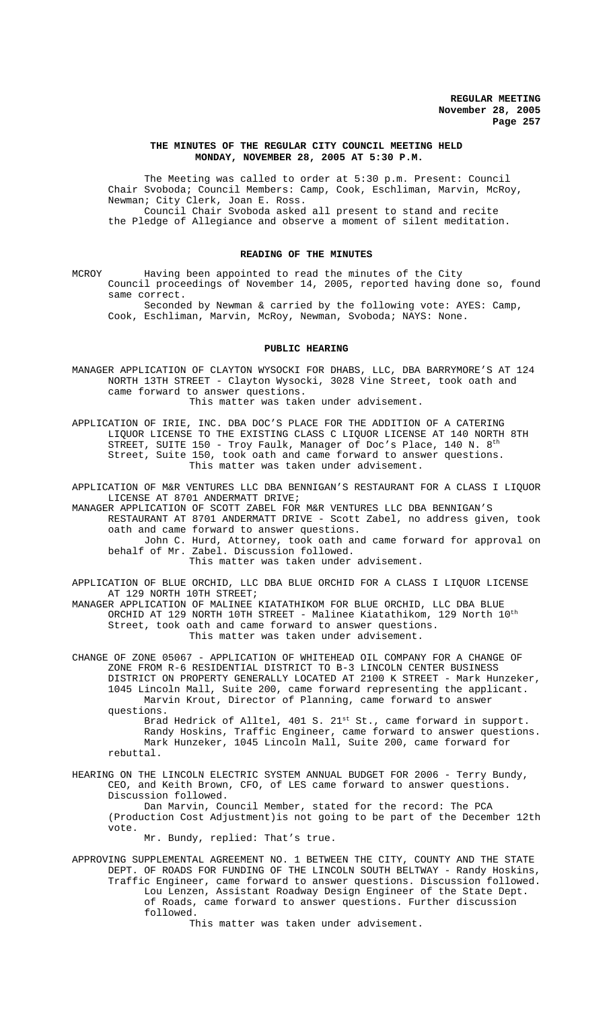# **THE MINUTES OF THE REGULAR CITY COUNCIL MEETING HELD MONDAY, NOVEMBER 28, 2005 AT 5:30 P.M.**

The Meeting was called to order at 5:30 p.m. Present: Council Chair Svoboda; Council Members: Camp, Cook, Eschliman, Marvin, McRoy, Newman; City Clerk, Joan E. Ross. Council Chair Svoboda asked all present to stand and recite the Pledge of Allegiance and observe a moment of silent meditation.

## **READING OF THE MINUTES**

MCROY Having been appointed to read the minutes of the City Council proceedings of November 14, 2005, reported having done so, found same correct.

Seconded by Newman & carried by the following vote: AYES: Camp, Cook, Eschliman, Marvin, McRoy, Newman, Svoboda; NAYS: None.

#### **PUBLIC HEARING**

MANAGER APPLICATION OF CLAYTON WYSOCKI FOR DHABS, LLC, DBA BARRYMORE'S AT 124 NORTH 13TH STREET - Clayton Wysocki, 3028 Vine Street, took oath and came forward to answer questions. This matter was taken under advisement.

APPLICATION OF IRIE, INC. DBA DOC'S PLACE FOR THE ADDITION OF A CATERING LIQUOR LICENSE TO THE EXISTING CLASS C LIQUOR LICENSE AT 140 NORTH 8TH STREET, SUITE 150 - Troy Faulk, Manager of Doc's Place, 140 N. 8<sup>th</sup> Street, Suite 150, took oath and came forward to answer questions. This matter was taken under advisement.

APPLICATION OF M&R VENTURES LLC DBA BENNIGAN'S RESTAURANT FOR A CLASS I LIQUOR LICENSE AT 8701 ANDERMATT DRIVE;

MANAGER APPLICATION OF SCOTT ZABEL FOR M&R VENTURES LLC DBA BENNIGAN'S RESTAURANT AT 8701 ANDERMATT DRIVE - Scott Zabel, no address given, took oath and came forward to answer questions. John C. Hurd, Attorney, took oath and came forward for approval on behalf of Mr. Zabel. Discussion followed.

This matter was taken under advisement.

APPLICATION OF BLUE ORCHID, LLC DBA BLUE ORCHID FOR A CLASS I LIQUOR LICENSE AT 129 NORTH 10TH STREET;

MANAGER APPLICATION OF MALINEE KIATATHIKOM FOR BLUE ORCHID, LLC DBA BLUE ORCHID AT 129 NORTH 10TH STREET - Malinee Kiatathikom, 129 North 10th Street, took oath and came forward to answer questions. This matter was taken under advisement.

CHANGE OF ZONE 05067 - APPLICATION OF WHITEHEAD OIL COMPANY FOR A CHANGE OF ZONE FROM R-6 RESIDENTIAL DISTRICT TO B-3 LINCOLN CENTER BUSINESS DISTRICT ON PROPERTY GENERALLY LOCATED AT 2100 K STREET - Mark Hunzeker, 1045 Lincoln Mall, Suite 200, came forward representing the applicant. Marvin Krout, Director of Planning, came forward to answer questions.

Brad Hedrick of Alltel, 401 S. 21<sup>st</sup> St., came forward in support. Randy Hoskins, Traffic Engineer, came forward to answer questions. Mark Hunzeker, 1045 Lincoln Mall, Suite 200, came forward for rebuttal.

HEARING ON THE LINCOLN ELECTRIC SYSTEM ANNUAL BUDGET FOR 2006 - Terry Bundy, CEO, and Keith Brown, CFO, of LES came forward to answer questions. Discussion followed. Dan Marvin, Council Member, stated for the record: The PCA

(Production Cost Adjustment)is not going to be part of the December 12th vote.

Mr. Bundy, replied: That's true.

APPROVING SUPPLEMENTAL AGREEMENT NO. 1 BETWEEN THE CITY, COUNTY AND THE STATE DEPT. OF ROADS FOR FUNDING OF THE LINCOLN SOUTH BELTWAY - Randy Hoskins, Traffic Engineer, came forward to answer questions. Discussion followed. Lou Lenzen, Assistant Roadway Design Engineer of the State Dept. of Roads, came forward to answer questions. Further discussion followed.

This matter was taken under advisement.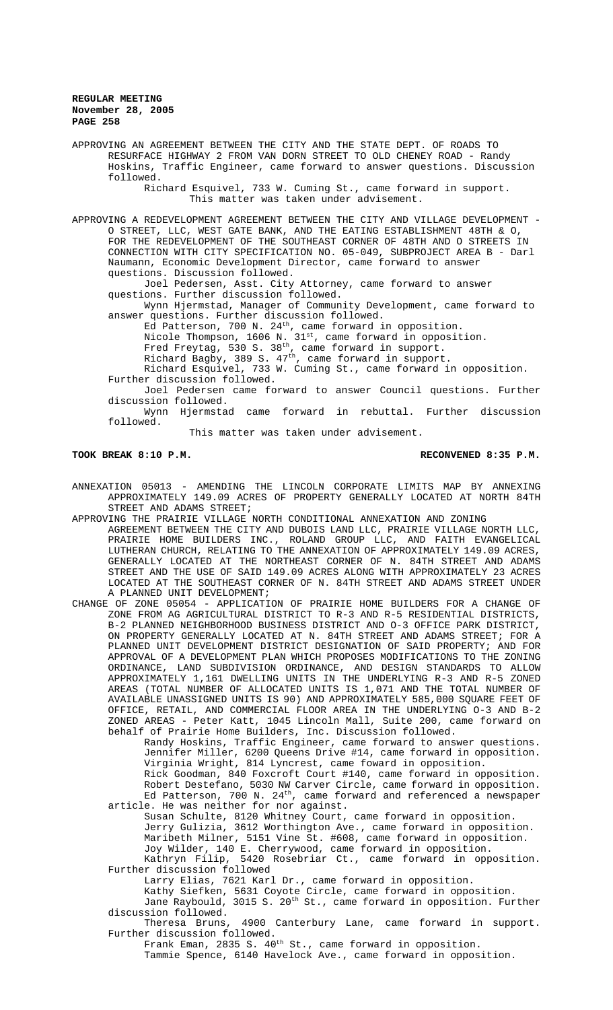APPROVING AN AGREEMENT BETWEEN THE CITY AND THE STATE DEPT. OF ROADS TO RESURFACE HIGHWAY 2 FROM VAN DORN STREET TO OLD CHENEY ROAD - Randy Hoskins, Traffic Engineer, came forward to answer questions. Discussion followed. Richard Esquivel, 733 W. Cuming St., came forward in support.

This matter was taken under advisement.

APPROVING A REDEVELOPMENT AGREEMENT BETWEEN THE CITY AND VILLAGE DEVELOPMENT - O STREET, LLC, WEST GATE BANK, AND THE EATING ESTABLISHMENT 48TH & O, FOR THE REDEVELOPMENT OF THE SOUTHEAST CORNER OF 48TH AND O STREETS IN CONNECTION WITH CITY SPECIFICATION NO. 05-049, SUBPROJECT AREA B - Darl Naumann, Economic Development Director, came forward to answer questions. Discussion followed.

Joel Pedersen, Asst. City Attorney, came forward to answer questions. Further discussion followed.

Wynn Hjermstad, Manager of Community Development, came forward to answer questions. Further discussion followed.

Ed Patterson, 700 N.  $24<sup>th</sup>$ , came forward in opposition.

Nicole Thompson, 1606 N.  $31^{st}$ , came forward in opposition.

Fred Freytag, 530 S. 38<sup>th</sup>, came forward in support.

Richard Bagby, 389 S. 47<sup>th</sup>, came forward in support.

Richard Esquivel, 733 W. Cuming St., came forward in opposition. Further discussion followed.

Joel Pedersen came forward to answer Council questions. Further discussion followed.

Wynn Hjermstad came forward in rebuttal. Further discussion followed.

This matter was taken under advisement.

#### **TOOK BREAK 8:10 P.M. RECONVENED 8:35 P.M.**

ANNEXATION 05013 - AMENDING THE LINCOLN CORPORATE LIMITS MAP BY ANNEXING APPROXIMATELY 149.09 ACRES OF PROPERTY GENERALLY LOCATED AT NORTH 84TH STREET AND ADAMS STREET;

APPROVING THE PRAIRIE VILLAGE NORTH CONDITIONAL ANNEXATION AND ZONING AGREEMENT BETWEEN THE CITY AND DUBOIS LAND LLC, PRAIRIE VILLAGE NORTH LLC, PRAIRIE HOME BUILDERS INC., ROLAND GROUP LLC, AND FAITH EVANGELICAL LUTHERAN CHURCH, RELATING TO THE ANNEXATION OF APPROXIMATELY 149.09 ACRES, GENERALLY LOCATED AT THE NORTHEAST CORNER OF N. 84TH STREET AND ADAMS STREET AND THE USE OF SAID 149.09 ACRES ALONG WITH APPROXIMATELY 23 ACRES LOCATED AT THE SOUTHEAST CORNER OF N. 84TH STREET AND ADAMS STREET UNDER

A PLANNED UNIT DEVELOPMENT; CHANGE OF ZONE 05054 - APPLICATION OF PRAIRIE HOME BUILDERS FOR A CHANGE OF ZONE FROM AG AGRICULTURAL DISTRICT TO R-3 AND R-5 RESIDENTIAL DISTRICTS, B-2 PLANNED NEIGHBORHOOD BUSINESS DISTRICT AND O-3 OFFICE PARK DISTRICT, ON PROPERTY GENERALLY LOCATED AT N. 84TH STREET AND ADAMS STREET; FOR A PLANNED UNIT DEVELOPMENT DISTRICT DESIGNATION OF SAID PROPERTY; AND FOR APPROVAL OF A DEVELOPMENT PLAN WHICH PROPOSES MODIFICATIONS TO THE ZONING ORDINANCE, LAND SUBDIVISION ORDINANCE, AND DESIGN STANDARDS TO ALLOW APPROXIMATELY 1,161 DWELLING UNITS IN THE UNDERLYING R-3 AND R-5 ZONED AREAS (TOTAL NUMBER OF ALLOCATED UNITS IS 1,071 AND THE TOTAL NUMBER OF AVAILABLE UNASSIGNED UNITS IS 90) AND APPROXIMATELY 585,000 SQUARE FEET OF OFFICE, RETAIL, AND COMMERCIAL FLOOR AREA IN THE UNDERLYING O-3 AND B-2 ZONED AREAS - Peter Katt, 1045 Lincoln Mall, Suite 200, came forward on behalf of Prairie Home Builders, Inc. Discussion followed.

Randy Hoskins, Traffic Engineer, came forward to answer questions. Jennifer Miller, 6200 Queens Drive #14, came forward in opposition. Virginia Wright, 814 Lyncrest, came foward in opposition. Rick Goodman, 840 Foxcroft Court #140, came forward in opposition. Robert Destefano, 5030 NW Carver Circle, came forward in opposition. Ed Patterson, 700 N.  $24^{\text{th}}$ , came forward and referenced a newspaper

article. He was neither for nor against. Susan Schulte, 8120 Whitney Court, came forward in opposition. Jerry Gulizia, 3612 Worthington Ave., came forward in opposition. Maribeth Milner, 5151 Vine St. #608, came forward in opposition. Joy Wilder, 140 E. Cherrywood, came forward in opposition. Kathryn Filip, 5420 Rosebriar Ct., came forward in opposition.

Further discussion followed Larry Elias, 7621 Karl Dr., came forward in opposition.

Kathy Siefken, 5631 Coyote Circle, came forward in opposition.

Jane Raybould, 3015 S. 20<sup>th</sup> St., came forward in opposition. Further discussion followed.

Theresa Bruns, 4900 Canterbury Lane, came forward in support. Further discussion followed.

Frank Eman, 2835 S. 40<sup>th</sup> St., came forward in opposition. Tammie Spence, 6140 Havelock Ave., came forward in opposition.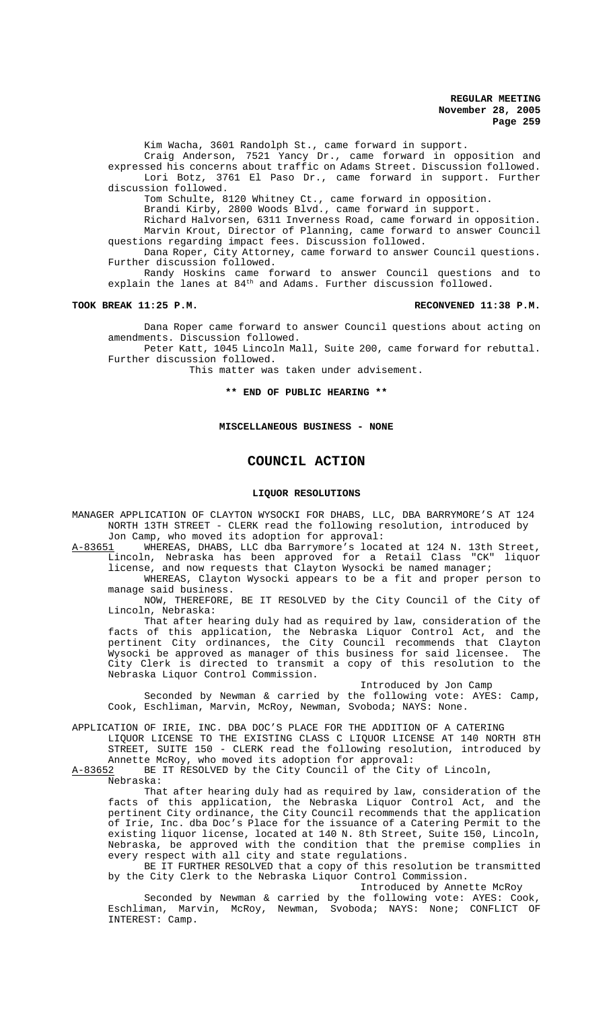Kim Wacha, 3601 Randolph St., came forward in support.

Craig Anderson, 7521 Yancy Dr., came forward in opposition and expressed his concerns about traffic on Adams Street. Discussion followed. Lori Botz, 3761 El Paso Dr., came forward in support. Further discussion followed.

Tom Schulte, 8120 Whitney Ct., came forward in opposition.

Brandi Kirby, 2800 Woods Blvd., came forward in support.

Richard Halvorsen, 6311 Inverness Road, came forward in opposition. Marvin Krout, Director of Planning, came forward to answer Council questions regarding impact fees. Discussion followed.

Dana Roper, City Attorney, came forward to answer Council questions. Further discussion followed.

Randy Hoskins came forward to answer Council questions and to explain the lanes at 84<sup>th</sup> and Adams. Further discussion followed.

#### **TOOK BREAK 11:25 P.M. RECONVENED 11:38 P.M.**

Dana Roper came forward to answer Council questions about acting on amendments. Discussion followed.

Peter Katt, 1045 Lincoln Mall, Suite 200, came forward for rebuttal. Further discussion followed.

This matter was taken under advisement.

**\*\* END OF PUBLIC HEARING \*\***

#### **MISCELLANEOUS BUSINESS - NONE**

## **COUNCIL ACTION**

#### **LIQUOR RESOLUTIONS**

MANAGER APPLICATION OF CLAYTON WYSOCKI FOR DHABS, LLC, DBA BARRYMORE'S AT 124 NORTH 13TH STREET - CLERK read the following resolution, introduced by

Jon Camp, who moved its adoption for approval:<br>A-83651 WHEREAS, DHABS, LLC dba Barrymore's locat WHEREAS, DHABS, LLC dba Barrymore's located at 124 N. 13th Street, Lincoln, Nebraska has been approved for a Retail Class "CK" liquor

license, and now requests that Clayton Wysocki be named manager; WHEREAS, Clayton Wysocki appears to be a fit and proper person to manage said business.

NOW, THEREFORE, BE IT RESOLVED by the City Council of the City of Lincoln, Nebraska:

That after hearing duly had as required by law, consideration of the facts of this application, the Nebraska Liquor Control Act, and the pertinent City ordinances, the City Council recommends that Clayton Wysocki be approved as manager of this business for said licensee. The City Clerk is directed to transmit a copy of this resolution to the Nebraska Liquor Control Commission.

Introduced by Jon Camp Seconded by Newman & carried by the following vote: AYES: Camp, Cook, Eschliman, Marvin, McRoy, Newman, Svoboda; NAYS: None.

APPLICATION OF IRIE, INC. DBA DOC'S PLACE FOR THE ADDITION OF A CATERING LIQUOR LICENSE TO THE EXISTING CLASS C LIQUOR LICENSE AT 140 NORTH 8TH STREET, SUITE 150 - CLERK read the following resolution, introduced by

Annette McRoy, who moved its adoption for approval:<br>A-83652 BE IT RESOLVED by the City Council of the City BE IT RESOLVED by the City Council of the City of Lincoln,

Nebraska:

That after hearing duly had as required by law, consideration of the facts of this application, the Nebraska Liquor Control Act, and the pertinent City ordinance, the City Council recommends that the application of Irie, Inc. dba Doc's Place for the issuance of a Catering Permit to the existing liquor license, located at 140 N. 8th Street, Suite 150, Lincoln, Nebraska, be approved with the condition that the premise complies in every respect with all city and state regulations.

BE IT FURTHER RESOLVED that a copy of this resolution be transmitted by the City Clerk to the Nebraska Liquor Control Commission.

Introduced by Annette McRoy

Seconded by Newman & carried by the following vote: AYES: Cook, Eschliman, Marvin, McRoy, Newman, Svoboda; NAYS: None; CONFLICT OF INTEREST: Camp.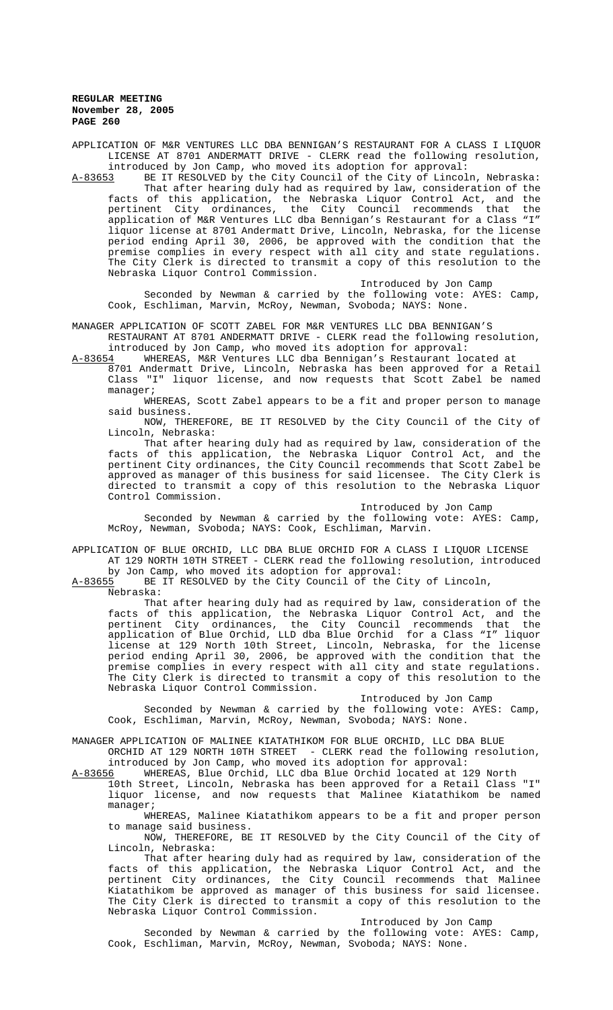APPLICATION OF M&R VENTURES LLC DBA BENNIGAN'S RESTAURANT FOR A CLASS I LIQUOR LICENSE AT 8701 ANDERMATT DRIVE - CLERK read the following resolution, introduced by Jon Camp, who moved its adoption for approval:

A-83653 BE IT RESOLVED by the City Council of the City of Lincoln, Nebraska: That after hearing duly had as required by law, consideration of the facts of this application, the Nebraska Liquor Control Act, and the pertinent City ordinances, the City Council recommends that the application of M&R Ventures LLC dba Bennigan's Restaurant for a Class "I" liquor license at 8701 Andermatt Drive, Lincoln, Nebraska, for the license period ending April 30, 2006, be approved with the condition that the premise complies in every respect with all city and state regulations. The City Clerk is directed to transmit a copy of this resolution to the Nebraska Liquor Control Commission.

Introduced by Jon Camp

Seconded by Newman & carried by the following vote: AYES: Camp, Cook, Eschliman, Marvin, McRoy, Newman, Svoboda; NAYS: None.

MANAGER APPLICATION OF SCOTT ZABEL FOR M&R VENTURES LLC DBA BENNIGAN'S RESTAURANT AT 8701 ANDERMATT DRIVE - CLERK read the following resolution, introduced by Jon Camp, who moved its adoption for approval:

A-83654 WHEREAS, M&R Ventures LLC dba Bennigan's Restaurant located at 8701 Andermatt Drive, Lincoln, Nebraska has been approved for a Retail Class "I" liquor license, and now requests that Scott Zabel be named manager;

WHEREAS, Scott Zabel appears to be a fit and proper person to manage said business.

NOW, THEREFORE, BE IT RESOLVED by the City Council of the City of Lincoln, Nebraska:

That after hearing duly had as required by law, consideration of the facts of this application, the Nebraska Liquor Control Act, and the pertinent City ordinances, the City Council recommends that Scott Zabel be approved as manager of this business for said licensee. The City Clerk is directed to transmit a copy of this resolution to the Nebraska Liquor Control Commission.

Introduced by Jon Camp

Seconded by Newman & carried by the following vote: AYES: Camp, McRoy, Newman, Svoboda; NAYS: Cook, Eschliman, Marvin.

APPLICATION OF BLUE ORCHID, LLC DBA BLUE ORCHID FOR A CLASS I LIQUOR LICENSE AT 129 NORTH 10TH STREET - CLERK read the following resolution, introduced

by Jon Camp, who moved its adoption for approval: A-83655 BE IT RESOLVED by the City Council of the City of Lincoln,

Nebraska:

That after hearing duly had as required by law, consideration of the facts of this application, the Nebraska Liquor Control Act, and the pertinent City ordinances, the City Council recommends that the application of Blue Orchid, LLD dba Blue Orchid for a Class "I" liquor license at 129 North 10th Street, Lincoln, Nebraska, for the license period ending April 30, 2006, be approved with the condition that the premise complies in every respect with all city and state regulations. The City Clerk is directed to transmit a copy of this resolution to the Nebraska Liquor Control Commission.

Introduced by Jon Camp

Seconded by Newman & carried by the following vote: AYES: Camp, Cook, Eschliman, Marvin, McRoy, Newman, Svoboda; NAYS: None.

MANAGER APPLICATION OF MALINEE KIATATHIKOM FOR BLUE ORCHID, LLC DBA BLUE

ORCHID AT 129 NORTH 10TH STREET - CLERK read the following resolution, introduced by Jon Camp, who moved its adoption for approval:<br>A-83656 MHEREAS, Blue Orchid, LLC dba Blue Orchid located at 1

WHEREAS, Blue Orchid, LLC dba Blue Orchid located at 129 North

10th Street, Lincoln, Nebraska has been approved for a Retail Class "I" liquor license, and now requests that Malinee Kiatathikom be named manager;

WHEREAS, Malinee Kiatathikom appears to be a fit and proper person to manage said business.

NOW, THEREFORE, BE IT RESOLVED by the City Council of the City of Lincoln, Nebraska:

That after hearing duly had as required by law, consideration of the facts of this application, the Nebraska Liquor Control Act, and the pertinent City ordinances, the City Council recommends that Malinee Kiatathikom be approved as manager of this business for said licensee. The City Clerk is directed to transmit a copy of this resolution to the Nebraska Liquor Control Commission.

Introduced by Jon Camp

Seconded by Newman & carried by the following vote: AYES: Camp, Cook, Eschliman, Marvin, McRoy, Newman, Svoboda; NAYS: None.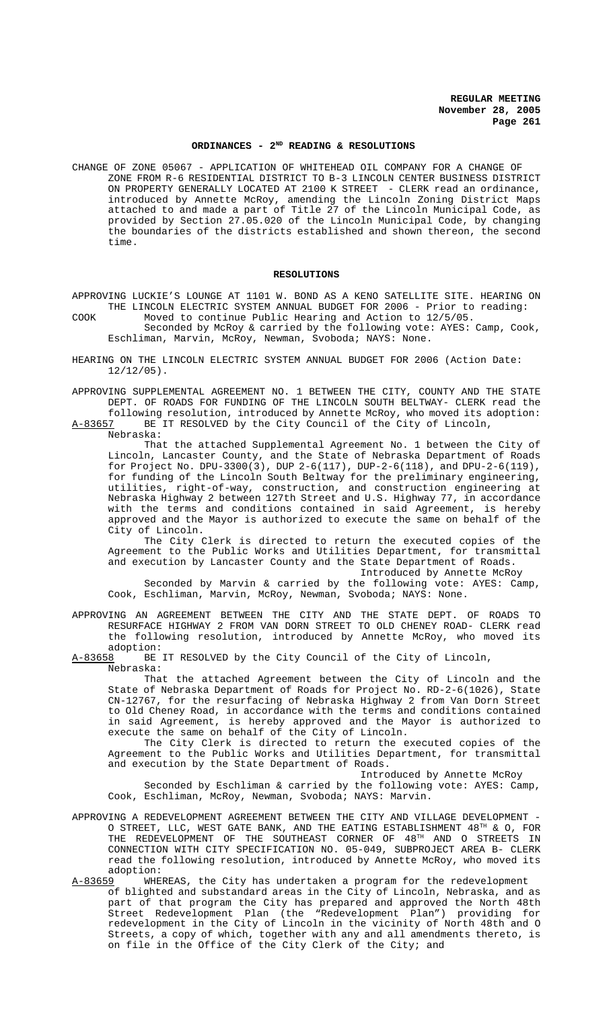# **ORDINANCES - 2ND READING & RESOLUTIONS**

CHANGE OF ZONE 05067 - APPLICATION OF WHITEHEAD OIL COMPANY FOR A CHANGE OF ZONE FROM R-6 RESIDENTIAL DISTRICT TO B-3 LINCOLN CENTER BUSINESS DISTRICT ON PROPERTY GENERALLY LOCATED AT 2100 K STREET - CLERK read an ordinance, introduced by Annette McRoy, amending the Lincoln Zoning District Maps attached to and made a part of Title 27 of the Lincoln Municipal Code, as provided by Section 27.05.020 of the Lincoln Municipal Code, by changing the boundaries of the districts established and shown thereon, the second time.

#### **RESOLUTIONS**

APPROVING LUCKIE'S LOUNGE AT 1101 W. BOND AS A KENO SATELLITE SITE. HEARING ON THE LINCOLN ELECTRIC SYSTEM ANNUAL BUDGET FOR 2006 - Prior to reading:

- COOK Moved to continue Public Hearing and Action to 12/5/05. Seconded by McRoy & carried by the following vote: AYES: Camp, Cook, Eschliman, Marvin, McRoy, Newman, Svoboda; NAYS: None.
- HEARING ON THE LINCOLN ELECTRIC SYSTEM ANNUAL BUDGET FOR 2006 (Action Date:  $12/12/05$ ).
- APPROVING SUPPLEMENTAL AGREEMENT NO. 1 BETWEEN THE CITY, COUNTY AND THE STATE DEPT. OF ROADS FOR FUNDING OF THE LINCOLN SOUTH BELTWAY- CLERK read the following resolution, introduced by Annette McRoy, who moved its adoption:<br>A-83657 BE IT RESOLVED by the City Council of the City of Lincoln,
- BE IT RESOLVED by the City Council of the City of Lincoln, Nebraska:

That the attached Supplemental Agreement No. 1 between the City of Lincoln, Lancaster County, and the State of Nebraska Department of Roads for Project No. DPU-3300(3), DUP 2-6(117), DUP-2-6(118), and DPU-2-6(119), for funding of the Lincoln South Beltway for the preliminary engineering, utilities, right-of-way, construction, and construction engineering at Nebraska Highway 2 between 127th Street and U.S. Highway 77, in accordance with the terms and conditions contained in said Agreement, is hereby approved and the Mayor is authorized to execute the same on behalf of the City of Lincoln.

The City Clerk is directed to return the executed copies of the Agreement to the Public Works and Utilities Department, for transmittal and execution by Lancaster County and the State Department of Roads. Introduced by Annette McRoy

Seconded by Marvin & carried by the following vote: AYES: Camp, Cook, Eschliman, Marvin, McRoy, Newman, Svoboda; NAYS: None.

- APPROVING AN AGREEMENT BETWEEN THE CITY AND THE STATE DEPT. OF ROADS TO RESURFACE HIGHWAY 2 FROM VAN DORN STREET TO OLD CHENEY ROAD- CLERK read the following resolution, introduced by Annette McRoy, who moved its adoption:
- A-83658 BE IT RESOLVED by the City Council of the City of Lincoln, Nebraska:

That the attached Agreement between the City of Lincoln and the State of Nebraska Department of Roads for Project No. RD-2-6(1026), State CN-12767, for the resurfacing of Nebraska Highway 2 from Van Dorn Street to Old Cheney Road, in accordance with the terms and conditions contained in said Agreement, is hereby approved and the Mayor is authorized to execute the same on behalf of the City of Lincoln.

The City Clerk is directed to return the executed copies of the Agreement to the Public Works and Utilities Department, for transmittal and execution by the State Department of Roads.

Introduced by Annette McRoy

Seconded by Eschliman & carried by the following vote: AYES: Camp, Cook, Eschliman, McRoy, Newman, Svoboda; NAYS: Marvin.

- APPROVING A REDEVELOPMENT AGREEMENT BETWEEN THE CITY AND VILLAGE DEVELOPMENT O STREET, LLC, WEST GATE BANK, AND THE EATING ESTABLISHMENT 48TH & O, FOR THE REDEVELOPMENT OF THE SOUTHEAST CORNER OF 48<sup>TH</sup> AND O STREETS IN CONNECTION WITH CITY SPECIFICATION NO. 05-049, SUBPROJECT AREA B- CLERK read the following resolution, introduced by Annette McRoy, who moved its adoption:
- A-83659 WHEREAS, the City has undertaken a program for the redevelopment of blighted and substandard areas in the City of Lincoln, Nebraska, and as part of that program the City has prepared and approved the North 48th Street Redevelopment Plan (the "Redevelopment Plan") providing for redevelopment in the City of Lincoln in the vicinity of North 48th and O Streets, a copy of which, together with any and all amendments thereto, is on file in the Office of the City Clerk of the City; and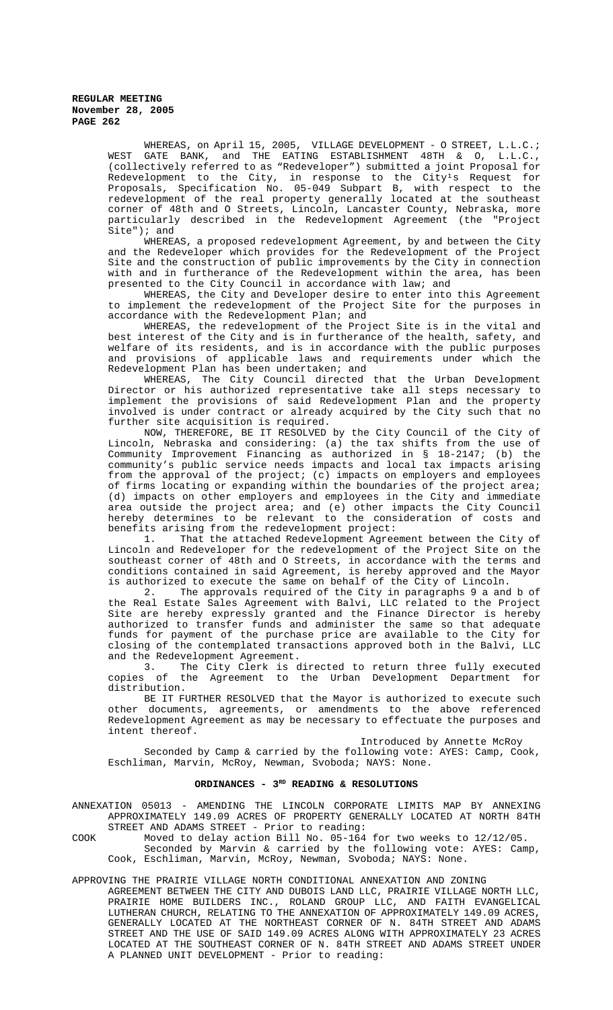> WHEREAS, on April 15, 2005, VILLAGE DEVELOPMENT - O STREET, L.L.C.; WEST GATE BANK, and THE EATING ESTABLISHMENT 48TH & O, L.L.C., (collectively referred to as "Redeveloper") submitted a joint Proposal for Redevelopment to the City, in response to the City<sup>1</sup>s Request for Proposals, Specification No. 05-049 Subpart B, with respect to the redevelopment of the real property generally located at the southeast corner of 48th and O Streets, Lincoln, Lancaster County, Nebraska, more particularly described in the Redevelopment Agreement (the "Project Site"); and

> WHEREAS, a proposed redevelopment Agreement, by and between the City and the Redeveloper which provides for the Redevelopment of the Project Site and the construction of public improvements by the City in connection with and in furtherance of the Redevelopment within the area, has been presented to the City Council in accordance with law; and

> WHEREAS, the City and Developer desire to enter into this Agreement to implement the redevelopment of the Project Site for the purposes in accordance with the Redevelopment Plan; and

> WHEREAS, the redevelopment of the Project Site is in the vital and best interest of the City and is in furtherance of the health, safety, and welfare of its residents, and is in accordance with the public purposes and provisions of applicable laws and requirements under which the Redevelopment Plan has been undertaken; and

> WHEREAS, The City Council directed that the Urban Development Director or his authorized representative take all steps necessary to implement the provisions of said Redevelopment Plan and the property involved is under contract or already acquired by the City such that no further site acquisition is required.

> NOW, THEREFORE, BE IT RESOLVED by the City Council of the City of Lincoln, Nebraska and considering: (a) the tax shifts from the use of Community Improvement Financing as authorized in § 18-2147; (b) the community's public service needs impacts and local tax impacts arising from the approval of the project; (c) impacts on employers and employees of firms locating or expanding within the boundaries of the project area; (d) impacts on other employers and employees in the City and immediate area outside the project area; and (e) other impacts the City Council hereby determines to be relevant to the consideration of costs and benefits arising from the redevelopment project:

> 1. That the attached Redevelopment Agreement between the City of Lincoln and Redeveloper for the redevelopment of the Project Site on the southeast corner of 48th and O Streets, in accordance with the terms and conditions contained in said Agreement, is hereby approved and the Mayor is authorized to execute the same on behalf of the City of Lincoln.

> 2. The approvals required of the City in paragraphs 9 a and b of the Real Estate Sales Agreement with Balvi, LLC related to the Project Site are hereby expressly granted and the Finance Director is hereby authorized to transfer funds and administer the same so that adequate funds for payment of the purchase price are available to the City for closing of the contemplated transactions approved both in the Balvi, LLC and the Redevelopment Agreement.

> 3. The City Clerk is directed to return three fully executed copies of the Agreement to the Urban Development Department for distribution.

> BE IT FURTHER RESOLVED that the Mayor is authorized to execute such other documents, agreements, or amendments to the above referenced Redevelopment Agreement as may be necessary to effectuate the purposes and intent thereof.

> > Introduced by Annette McRoy

Seconded by Camp & carried by the following vote: AYES: Camp, Cook, Eschliman, Marvin, McRoy, Newman, Svoboda; NAYS: None.

# ORDINANCES - 3<sup>RD</sup> READING & RESOLUTIONS

ANNEXATION 05013 - AMENDING THE LINCOLN CORPORATE LIMITS MAP BY ANNEXING APPROXIMATELY 149.09 ACRES OF PROPERTY GENERALLY LOCATED AT NORTH 84TH STREET AND ADAMS STREET - Prior to reading:

COOK Moved to delay action Bill No. 05-164 for two weeks to 12/12/05.

Seconded by Marvin & carried by the following vote: AYES: Camp, Cook, Eschliman, Marvin, McRoy, Newman, Svoboda; NAYS: None.

### APPROVING THE PRAIRIE VILLAGE NORTH CONDITIONAL ANNEXATION AND ZONING

AGREEMENT BETWEEN THE CITY AND DUBOIS LAND LLC, PRAIRIE VILLAGE NORTH LLC, PRAIRIE HOME BUILDERS INC., ROLAND GROUP LLC, AND FAITH EVANGELICAL LUTHERAN CHURCH, RELATING TO THE ANNEXATION OF APPROXIMATELY 149.09 ACRES, GENERALLY LOCATED AT THE NORTHEAST CORNER OF N. 84TH STREET AND ADAMS STREET AND THE USE OF SAID 149.09 ACRES ALONG WITH APPROXIMATELY 23 ACRES LOCATED AT THE SOUTHEAST CORNER OF N. 84TH STREET AND ADAMS STREET UNDER A PLANNED UNIT DEVELOPMENT - Prior to reading: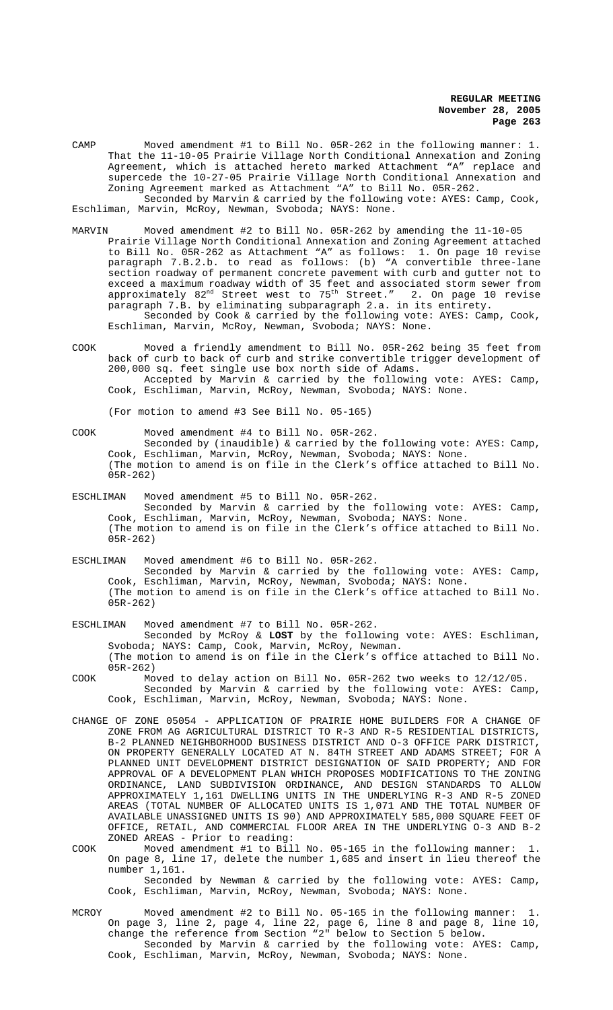CAMP Moved amendment #1 to Bill No. 05R-262 in the following manner: 1. That the 11-10-05 Prairie Village North Conditional Annexation and Zoning Agreement, which is attached hereto marked Attachment "A" replace and supercede the 10-27-05 Prairie Village North Conditional Annexation and Zoning Agreement marked as Attachment "A" to Bill No. 05R-262. Seconded by Marvin & carried by the following vote: AYES: Camp, Cook,

Eschliman, Marvin, McRoy, Newman, Svoboda; NAYS: None.

- MARVIN Moved amendment #2 to Bill No. 05R-262 by amending the 11-10-05 Prairie Village North Conditional Annexation and Zoning Agreement attached to Bill No. 05R-262 as Attachment "A" as follows: 1. On page 10 revise paragraph 7.B.2.b. to read as follows: (b) "A convertible three-lane section roadway of permanent concrete pavement with curb and gutter not to exceed a maximum roadway width of 35 feet and associated storm sewer from approximately  $82^{\rm nd}$  Street west to  $75^{\rm th}$  Street."  $\,$  2. On page  $10$  revise paragraph 7.B. by eliminating subparagraph 2.a. in its entirety. Seconded by Cook & carried by the following vote: AYES: Camp, Cook, Eschliman, Marvin, McRoy, Newman, Svoboda; NAYS: None.
- COOK Moved a friendly amendment to Bill No. 05R-262 being 35 feet from back of curb to back of curb and strike convertible trigger development of 200,000 sq. feet single use box north side of Adams. Accepted by Marvin & carried by the following vote: AYES: Camp, Cook, Eschliman, Marvin, McRoy, Newman, Svoboda; NAYS: None.

(For motion to amend #3 See Bill No. 05-165)

COOK Moved amendment #4 to Bill No. 05R-262.

Seconded by (inaudible) & carried by the following vote: AYES: Camp, Cook, Eschliman, Marvin, McRoy, Newman, Svoboda; NAYS: None. (The motion to amend is on file in the Clerk's office attached to Bill No. 05R-262)

- ESCHLIMAN Moved amendment #5 to Bill No. 05R-262. Seconded by Marvin & carried by the following vote: AYES: Camp, Cook, Eschliman, Marvin, McRoy, Newman, Svoboda; NAYS: None. (The motion to amend is on file in the Clerk's office attached to Bill No. 05R-262)
- ESCHLIMAN Moved amendment #6 to Bill No. 05R-262. Seconded by Marvin & carried by the following vote: AYES: Camp, Cook, Eschliman, Marvin, McRoy, Newman, Svoboda; NAYS: None. (The motion to amend is on file in the Clerk's office attached to Bill No. 05R-262)
- ESCHLIMAN Moved amendment #7 to Bill No. 05R-262. Seconded by McRoy & **LOST** by the following vote: AYES: Eschliman, Svoboda; NAYS: Camp, Cook, Marvin, McRoy, Newman. (The motion to amend is on file in the Clerk's office attached to Bill No. 05R-262)
- COOK Moved to delay action on Bill No. 05R-262 two weeks to 12/12/05. Seconded by Marvin & carried by the following vote: AYES: Camp, Cook, Eschliman, Marvin, McRoy, Newman, Svoboda; NAYS: None.
- CHANGE OF ZONE 05054 APPLICATION OF PRAIRIE HOME BUILDERS FOR A CHANGE OF ZONE FROM AG AGRICULTURAL DISTRICT TO R-3 AND R-5 RESIDENTIAL DISTRICTS, B-2 PLANNED NEIGHBORHOOD BUSINESS DISTRICT AND O-3 OFFICE PARK DISTRICT, ON PROPERTY GENERALLY LOCATED AT N. 84TH STREET AND ADAMS STREET; FOR A PLANNED UNIT DEVELOPMENT DISTRICT DESIGNATION OF SAID PROPERTY; AND FOR APPROVAL OF A DEVELOPMENT PLAN WHICH PROPOSES MODIFICATIONS TO THE ZONING ORDINANCE, LAND SUBDIVISION ORDINANCE, AND DESIGN STANDARDS TO ALLOW APPROXIMATELY 1,161 DWELLING UNITS IN THE UNDERLYING R-3 AND R-5 ZONED AREAS (TOTAL NUMBER OF ALLOCATED UNITS IS 1,071 AND THE TOTAL NUMBER OF AVAILABLE UNASSIGNED UNITS IS 90) AND APPROXIMATELY 585,000 SQUARE FEET OF OFFICE, RETAIL, AND COMMERCIAL FLOOR AREA IN THE UNDERLYING O-3 AND B-2 ZONED AREAS - Prior to reading:
- COOK Moved amendment #1 to Bill No. 05-165 in the following manner: 1. On page 8, line 17, delete the number 1,685 and insert in lieu thereof the number 1,161.

Seconded by Newman & carried by the following vote: AYES: Camp, Cook, Eschliman, Marvin, McRoy, Newman, Svoboda; NAYS: None.

MCROY Moved amendment #2 to Bill No. 05-165 in the following manner: 1. On page 3, line 2, page 4, line 22, page 6, line 8 and page 8, line 10, change the reference from Section "2" below to Section 5 below. Seconded by Marvin & carried by the following vote: AYES: Camp, Cook, Eschliman, Marvin, McRoy, Newman, Svoboda; NAYS: None.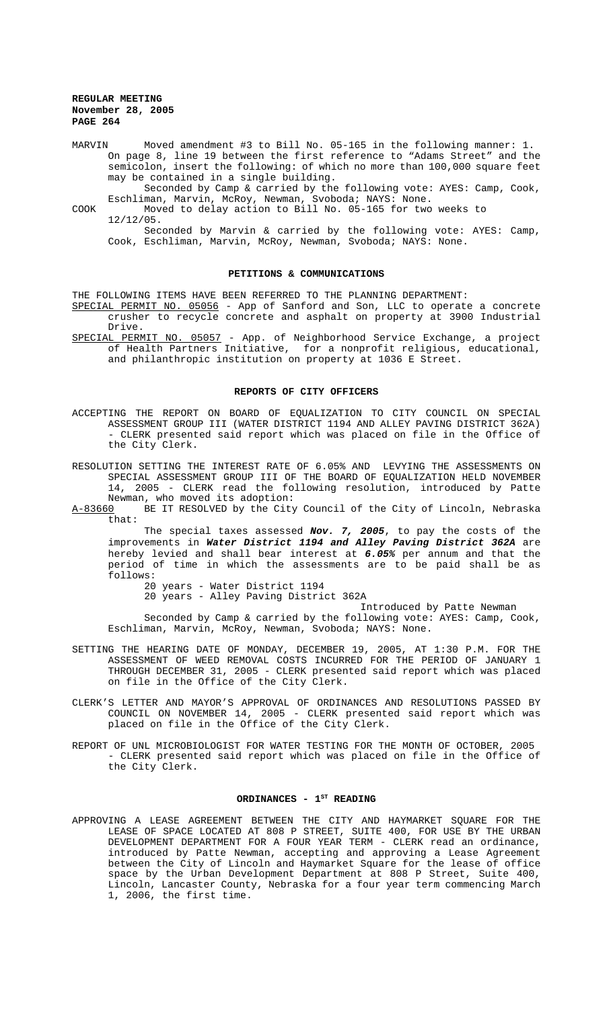MARVIN Moved amendment #3 to Bill No. 05-165 in the following manner: 1. On page 8, line 19 between the first reference to "Adams Street" and the semicolon, insert the following: of which no more than 100,000 square feet may be contained in a single building.

Seconded by Camp & carried by the following vote: AYES: Camp, Cook, Eschliman, Marvin, McRoy, Newman, Svoboda; NAYS: None.

COOK Moved to delay action to Bill No. 05-165 for two weeks to 12/12/05.

Seconded by Marvin & carried by the following vote: AYES: Camp, Cook, Eschliman, Marvin, McRoy, Newman, Svoboda; NAYS: None.

#### **PETITIONS & COMMUNICATIONS**

THE FOLLOWING ITEMS HAVE BEEN REFERRED TO THE PLANNING DEPARTMENT:

- SPECIAL PERMIT NO. 05056 App of Sanford and Son, LLC to operate a concrete crusher to recycle concrete and asphalt on property at 3900 Industrial Drive.
- SPECIAL PERMIT NO. 05057 App. of Neighborhood Service Exchange, a project of Health Partners Initiative, for a nonprofit religious, educational, and philanthropic institution on property at 1036 E Street.

#### **REPORTS OF CITY OFFICERS**

- ACCEPTING THE REPORT ON BOARD OF EQUALIZATION TO CITY COUNCIL ON SPECIAL ASSESSMENT GROUP III (WATER DISTRICT 1194 AND ALLEY PAVING DISTRICT 362A) - CLERK presented said report which was placed on file in the Office of the City Clerk.
- RESOLUTION SETTING THE INTEREST RATE OF 6.05% AND LEVYING THE ASSESSMENTS ON SPECIAL ASSESSMENT GROUP III OF THE BOARD OF EQUALIZATION HELD NOVEMBER 14, 2005 - CLERK read the following resolution, introduced by Patte Newman, who moved its adoption:<br>A-83660 BE IT RESOLVED by the City
- BE IT RESOLVED by the City Council of the City of Lincoln, Nebraska that:

The special taxes assessed *Nov. 7, 2005*, to pay the costs of the improvements in *Water District 1194 and Alley Paving District 362A* are hereby levied and shall bear interest at *6.05%* per annum and that the period of time in which the assessments are to be paid shall be as follows:

20 years - Water District 1194 20 years - Alley Paving District 362A

Introduced by Patte Newman

Seconded by Camp & carried by the following vote: AYES: Camp, Cook, Eschliman, Marvin, McRoy, Newman, Svoboda; NAYS: None.

- SETTING THE HEARING DATE OF MONDAY, DECEMBER 19, 2005, AT 1:30 P.M. FOR THE ASSESSMENT OF WEED REMOVAL COSTS INCURRED FOR THE PERIOD OF JANUARY 1 THROUGH DECEMBER 31, 2005 - CLERK presented said report which was placed on file in the Office of the City Clerk.
- CLERK'S LETTER AND MAYOR'S APPROVAL OF ORDINANCES AND RESOLUTIONS PASSED BY COUNCIL ON NOVEMBER 14, 2005 - CLERK presented said report which was placed on file in the Office of the City Clerk.
- REPORT OF UNL MICROBIOLOGIST FOR WATER TESTING FOR THE MONTH OF OCTOBER, 2005 - CLERK presented said report which was placed on file in the Office of the City Clerk.

#### ORDINANCES - 1<sup>st</sup> READING

APPROVING A LEASE AGREEMENT BETWEEN THE CITY AND HAYMARKET SQUARE FOR THE LEASE OF SPACE LOCATED AT 808 P STREET, SUITE 400, FOR USE BY THE URBAN DEVELOPMENT DEPARTMENT FOR A FOUR YEAR TERM - CLERK read an ordinance, introduced by Patte Newman, accepting and approving a Lease Agreement between the City of Lincoln and Haymarket Square for the lease of office space by the Urban Development Department at 808 P Street, Suite 400, Lincoln, Lancaster County, Nebraska for a four year term commencing March 1, 2006, the first time.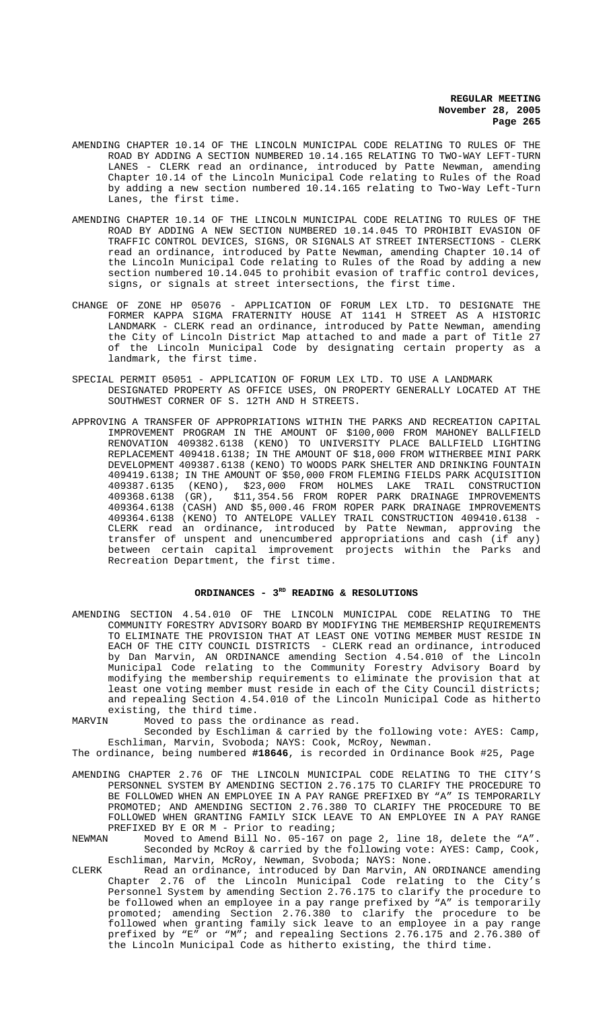- AMENDING CHAPTER 10.14 OF THE LINCOLN MUNICIPAL CODE RELATING TO RULES OF THE ROAD BY ADDING A SECTION NUMBERED 10.14.165 RELATING TO TWO-WAY LEFT-TURN LANES - CLERK read an ordinance, introduced by Patte Newman, amending Chapter 10.14 of the Lincoln Municipal Code relating to Rules of the Road by adding a new section numbered 10.14.165 relating to Two-Way Left-Turn Lanes, the first time.
- AMENDING CHAPTER 10.14 OF THE LINCOLN MUNICIPAL CODE RELATING TO RULES OF THE ROAD BY ADDING A NEW SECTION NUMBERED 10.14.045 TO PROHIBIT EVASION OF TRAFFIC CONTROL DEVICES, SIGNS, OR SIGNALS AT STREET INTERSECTIONS - CLERK read an ordinance, introduced by Patte Newman, amending Chapter 10.14 of the Lincoln Municipal Code relating to Rules of the Road by adding a new section numbered 10.14.045 to prohibit evasion of traffic control devices, signs, or signals at street intersections, the first time.
- CHANGE OF ZONE HP 05076 APPLICATION OF FORUM LEX LTD. TO DESIGNATE THE FORMER KAPPA SIGMA FRATERNITY HOUSE AT 1141 H STREET AS A HISTORIC LANDMARK - CLERK read an ordinance, introduced by Patte Newman, amending the City of Lincoln District Map attached to and made a part of Title 27 of the Lincoln Municipal Code by designating certain property as a landmark, the first time.
- SPECIAL PERMIT 05051 APPLICATION OF FORUM LEX LTD. TO USE A LANDMARK DESIGNATED PROPERTY AS OFFICE USES, ON PROPERTY GENERALLY LOCATED AT THE SOUTHWEST CORNER OF S. 12TH AND H STREETS.
- APPROVING A TRANSFER OF APPROPRIATIONS WITHIN THE PARKS AND RECREATION CAPITAL IMPROVEMENT PROGRAM IN THE AMOUNT OF \$100,000 FROM MAHONEY BALLFIELD RENOVATION 409382.6138 (KENO) TO UNIVERSITY PLACE BALLFIELD LIGHTING REPLACEMENT 409418.6138; IN THE AMOUNT OF \$18,000 FROM WITHERBEE MINI PARK DEVELOPMENT 409387.6138 (KENO) TO WOODS PARK SHELTER AND DRINKING FOUNTAIN 409419.6138; IN THE AMOUNT OF \$50,000 FROM FLEMING FIELDS PARK ACQUISITION 409387.6135 (KENO), \$23,000 FROM HOLMES LAKE TRAIL CONSTRUCTION 409368.6138 (GR), \$11,354.56 FROM ROPER PARK DRAINAGE IMPROVEMENTS 409364.6138 (CASH) AND \$5,000.46 FROM ROPER PARK DRAINAGE IMPROVEMENTS 409364.6138 (KENO) TO ANTELOPE VALLEY TRAIL CONSTRUCTION 409410.6138 - CLERK read an ordinance, introduced by Patte Newman, approving the transfer of unspent and unencumbered appropriations and cash (if any) between certain capital improvement projects within the Parks and Recreation Department, the first time.

## ORDINANCES - 3<sup>RD</sup> READING & RESOLUTIONS

- AMENDING SECTION 4.54.010 OF THE LINCOLN MUNICIPAL CODE RELATING TO THE COMMUNITY FORESTRY ADVISORY BOARD BY MODIFYING THE MEMBERSHIP REQUIREMENTS TO ELIMINATE THE PROVISION THAT AT LEAST ONE VOTING MEMBER MUST RESIDE IN EACH OF THE CITY COUNCIL DISTRICTS - CLERK read an ordinance, introduced by Dan Marvin, AN ORDINANCE amending Section 4.54.010 of the Lincoln Municipal Code relating to the Community Forestry Advisory Board by modifying the membership requirements to eliminate the provision that at least one voting member must reside in each of the City Council districts; and repealing Section 4.54.010 of the Lincoln Municipal Code as hitherto existing, the third time.<br>MARVIN Moved to pass the o
- Moved to pass the ordinance as read.
- Seconded by Eschliman & carried by the following vote: AYES: Camp, Eschliman, Marvin, Svoboda; NAYS: Cook, McRoy, Newman.

The ordinance, being numbered **#18646**, is recorded in Ordinance Book #25, Page

- AMENDING CHAPTER 2.76 OF THE LINCOLN MUNICIPAL CODE RELATING TO THE CITY'S PERSONNEL SYSTEM BY AMENDING SECTION 2.76.175 TO CLARIFY THE PROCEDURE TO BE FOLLOWED WHEN AN EMPLOYEE IN A PAY RANGE PREFIXED BY "A" IS TEMPORARILY PROMOTED; AND AMENDING SECTION 2.76.380 TO CLARIFY THE PROCEDURE TO BE FOLLOWED WHEN GRANTING FAMILY SICK LEAVE TO AN EMPLOYEE IN A PAY RANGE PREFIXED BY E OR M - Prior to reading;<br>NEWMAN Moved to Amend Bill No. 05-167 or
- Moved to Amend Bill No.  $05-167$  on page 2, line 18, delete the "A". Seconded by McRoy & carried by the following vote: AYES: Camp, Cook, Eschliman, Marvin, McRoy, Newman, Svoboda; NAYS: None.
- CLERK Read an ordinance, introduced by Dan Marvin, AN ORDINANCE amending Chapter 2.76 of the Lincoln Municipal Code relating to the City's Personnel System by amending Section 2.76.175 to clarify the procedure to be followed when an employee in a pay range prefixed by "A" is temporarily promoted; amending Section 2.76.380 to clarify the procedure to be followed when granting family sick leave to an employee in a pay range prefixed by "E" or "M"; and repealing Sections 2.76.175 and 2.76.380 of the Lincoln Municipal Code as hitherto existing, the third time.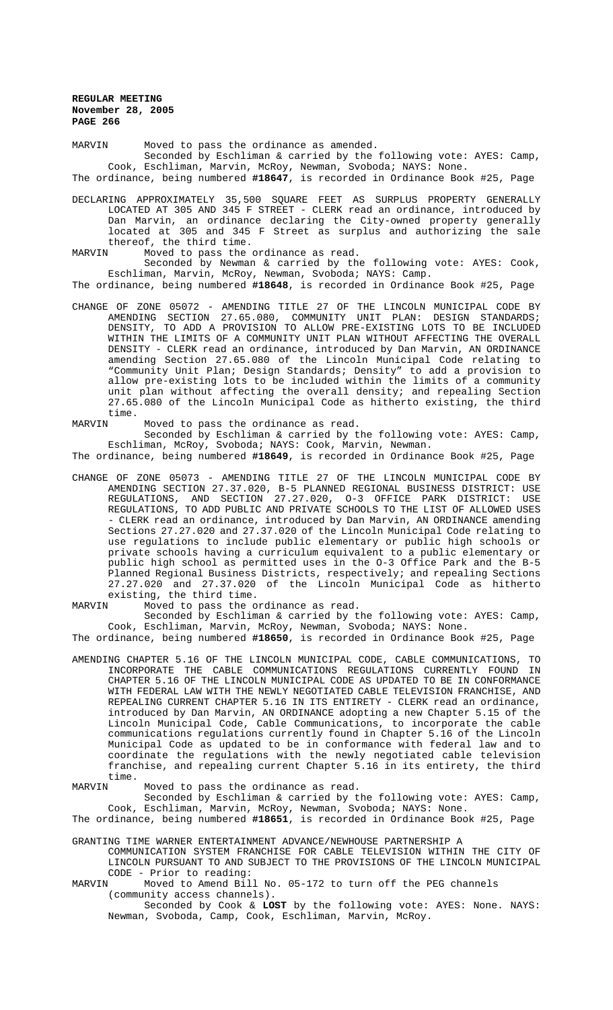MARVIN Moved to pass the ordinance as amended. Seconded by Eschliman & carried by the following vote: AYES: Camp, Cook, Eschliman, Marvin, McRoy, Newman, Svoboda; NAYS: None. The ordinance, being numbered **#18647**, is recorded in Ordinance Book #25, Page

DECLARING APPROXIMATELY 35,500 SQUARE FEET AS SURPLUS PROPERTY GENERALLY LOCATED AT 305 AND 345 F STREET - CLERK read an ordinance, introduced by Dan Marvin, an ordinance declaring the City-owned property generally located at 305 and 345 F Street as surplus and authorizing the sale thereof, the third time.<br>MARVIN Moved to pass the

Moved to pass the ordinance as read.

Seconded by Newman & carried by the following vote: AYES: Cook, Eschliman, Marvin, McRoy, Newman, Svoboda; NAYS: Camp. The ordinance, being numbered **#18648**, is recorded in Ordinance Book #25, Page

CHANGE OF ZONE 05072 - AMENDING TITLE 27 OF THE LINCOLN MUNICIPAL CODE BY AMENDING SECTION 27.65.080, COMMUNITY UNIT PLAN: DESIGN STANDARDS; DENSITY, TO ADD A PROVISION TO ALLOW PRE-EXISTING LOTS TO BE INCLUDED WITHIN THE LIMITS OF A COMMUNITY UNIT PLAN WITHOUT AFFECTING THE OVERALL DENSITY - CLERK read an ordinance, introduced by Dan Marvin, AN ORDINANCE amending Section 27.65.080 of the Lincoln Municipal Code relating to "Community Unit Plan; Design Standards; Density" to add a provision to allow pre-existing lots to be included within the limits of a community unit plan without affecting the overall density; and repealing Section 27.65.080 of the Lincoln Municipal Code as hitherto existing, the third time.<br>MARVIN

#### Moved to pass the ordinance as read.

Seconded by Eschliman & carried by the following vote: AYES: Camp, Eschliman, McRoy, Svoboda; NAYS: Cook, Marvin, Newman.

The ordinance, being numbered **#18649**, is recorded in Ordinance Book #25, Page

CHANGE OF ZONE 05073 - AMENDING TITLE 27 OF THE LINCOLN MUNICIPAL CODE BY AMENDING SECTION 27.37.020, B-5 PLANNED REGIONAL BUSINESS DISTRICT: USE REGULATIONS, AND SECTION 27.27.020, O-3 OFFICE PARK DISTRICT: USE REGULATIONS, TO ADD PUBLIC AND PRIVATE SCHOOLS TO THE LIST OF ALLOWED USES - CLERK read an ordinance, introduced by Dan Marvin, AN ORDINANCE amending Sections 27.27.020 and 27.37.020 of the Lincoln Municipal Code relating to use regulations to include public elementary or public high schools or private schools having a curriculum equivalent to a public elementary or public high school as permitted uses in the O-3 Office Park and the B-5 Planned Regional Business Districts, respectively; and repealing Sections 27.27.020 and 27.37.020 of the Lincoln Municipal Code as hitherto existing, the third time.<br>MARVIN Moved to pass the o

Moved to pass the ordinance as read.

Seconded by Eschliman & carried by the following vote: AYES: Camp, Cook, Eschliman, Marvin, McRoy, Newman, Svoboda; NAYS: None.

The ordinance, being numbered **#18650**, is recorded in Ordinance Book #25, Page

AMENDING CHAPTER 5.16 OF THE LINCOLN MUNICIPAL CODE, CABLE COMMUNICATIONS, TO INCORPORATE THE CABLE COMMUNICATIONS REGULATIONS CURRENTLY FOUND IN CHAPTER 5.16 OF THE LINCOLN MUNICIPAL CODE AS UPDATED TO BE IN CONFORMANCE WITH FEDERAL LAW WITH THE NEWLY NEGOTIATED CABLE TELEVISION FRANCHISE, AND REPEALING CURRENT CHAPTER 5.16 IN ITS ENTIRETY - CLERK read an ordinance, introduced by Dan Marvin, AN ORDINANCE adopting a new Chapter 5.15 of the Lincoln Municipal Code, Cable Communications, to incorporate the cable communications regulations currently found in Chapter 5.16 of the Lincoln Municipal Code as updated to be in conformance with federal law and to coordinate the regulations with the newly negotiated cable television franchise, and repealing current Chapter 5.16 in its entirety, the third

time.<br>MARVIN Moved to pass the ordinance as read.

Seconded by Eschliman & carried by the following vote: AYES: Camp, Cook, Eschliman, Marvin, McRoy, Newman, Svoboda; NAYS: None.

The ordinance, being numbered **#18651**, is recorded in Ordinance Book #25, Page

GRANTING TIME WARNER ENTERTAINMENT ADVANCE/NEWHOUSE PARTNERSHIP A

COMMUNICATION SYSTEM FRANCHISE FOR CABLE TELEVISION WITHIN THE CITY OF LINCOLN PURSUANT TO AND SUBJECT TO THE PROVISIONS OF THE LINCOLN MUNICIPAL CODE - Prior to reading:<br>MARVIN Moved to Amend Bil

Moved to Amend Bill No. 05-172 to turn off the PEG channels (community access channels).

Seconded by Cook & **LOST** by the following vote: AYES: None. NAYS: Newman, Svoboda, Camp, Cook, Eschliman, Marvin, McRoy.